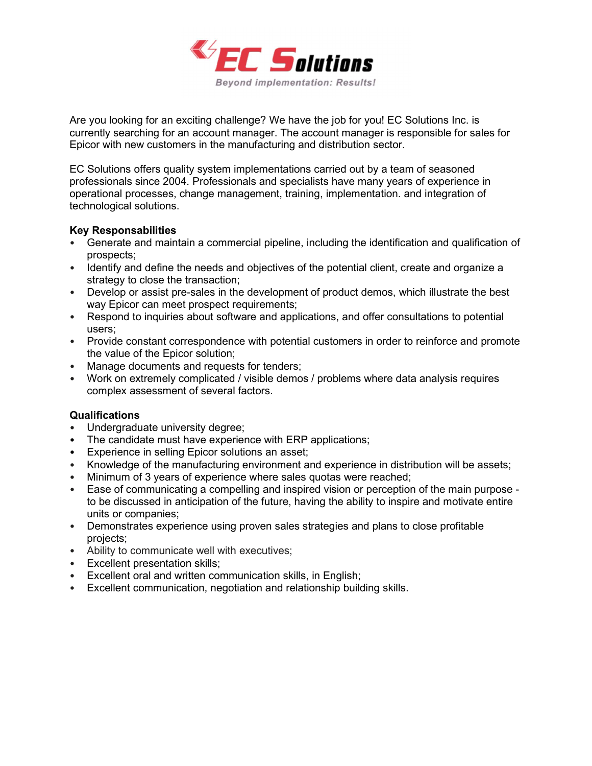

Are you looking for an exciting challenge? We have the job for you! EC Solutions Inc. is currently searching for an account manager. The account manager is responsible for sales for Epicor with new customers in the manufacturing and distribution sector.

EC Solutions offers quality system implementations carried out by a team of seasoned professionals since 2004. Professionals and specialists have many years of experience in operational processes, change management, training, implementation. and integration of technological solutions.

## Key Responsabilities

- Generate and maintain a commercial pipeline, including the identification and qualification of prospects;
- Identify and define the needs and objectives of the potential client, create and organize a strategy to close the transaction;
- Develop or assist pre-sales in the development of product demos, which illustrate the best way Epicor can meet prospect requirements;
- Respond to inquiries about software and applications, and offer consultations to potential users;
- Provide constant correspondence with potential customers in order to reinforce and promote the value of the Epicor solution;
- Manage documents and requests for tenders;
- Work on extremely complicated / visible demos / problems where data analysis requires complex assessment of several factors.

## Qualifications

- Undergraduate university degree;
- The candidate must have experience with ERP applications;
- Experience in selling Epicor solutions an asset;
- Knowledge of the manufacturing environment and experience in distribution will be assets;
- Minimum of 3 years of experience where sales quotas were reached;
- Ease of communicating a compelling and inspired vision or perception of the main purpose to be discussed in anticipation of the future, having the ability to inspire and motivate entire units or companies;
- Demonstrates experience using proven sales strategies and plans to close profitable projects;
- Ability to communicate well with executives;
- Excellent presentation skills;
- Excellent oral and written communication skills, in English;
- Excellent communication, negotiation and relationship building skills.